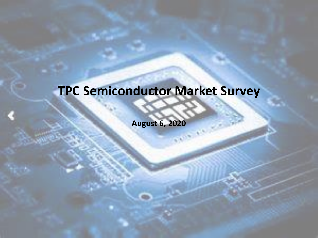### **TPC Semiconductor Market Survey**

**August 6, 2020**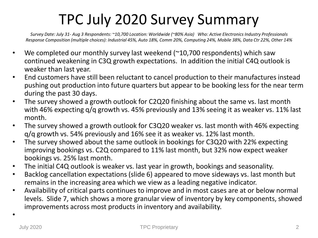### TPC July 2020 Survey Summary

*Survey Date: July 31- Aug 3 Respondents: ~10,700 Location: Worldwide (~80% Asia) Who: Active Electronics Industry Professionals Response Composition (multiple choices): Industrial 45%, Auto 18%, Comm 20%, Computing 24%, Mobile 38%, Data Ctr 22%, Other 14%*

- We completed our monthly survey last weekend  $(210,700)$  respondents) which saw continued weakening in C3Q growth expectations. In addition the initial C4Q outlook is weaker than last year.
- End customers have still been reluctant to cancel production to their manufactures instead pushing out production into future quarters but appear to be booking less for the near term during the past 30 days.
- The survey showed a growth outlook for C2Q20 finishing about the same vs. last month with 46% expecting q/q growth vs. 45% previously and 13% seeing it as weaker vs. 11% last month.
- The survey showed a growth outlook for C3Q20 weaker vs. last month with 46% expecting q/q growth vs. 54% previously and 16% see it as weaker vs. 12% last month.
- The survey showed about the same outlook in bookings for C3Q20 with 22% expecting improving bookings vs. C2Q compared to 11% last month, but 32% now expect weaker bookings vs. 25% last month.
- The initial C4Q outlook is weaker vs. last year in growth, bookings and seasonality.
- Backlog cancellation expectations (slide 6) appeared to move sideways vs. last month but remains in the increasing area which we view as a leading negative indicator.
- Availability of critical parts continues to improve and in most cases are at or below normal levels. Slide 7, which shows a more granular view of inventory by key components, showed improvements across most products in inventory and availability.

•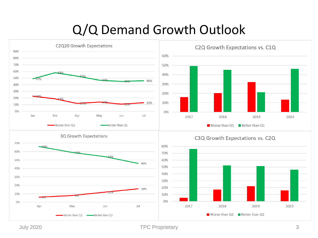#### Q/Q Demand Growth Outlook



July 2020 TPC Proprietary 3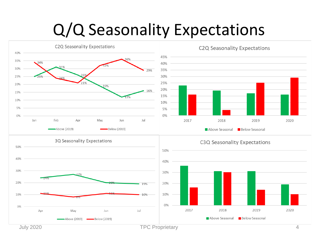## Q/Q Seasonality Expectations

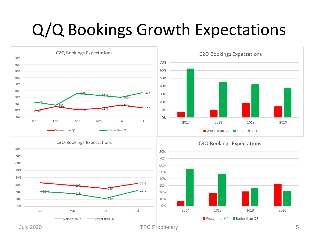## Q/Q Bookings Growth Expectations

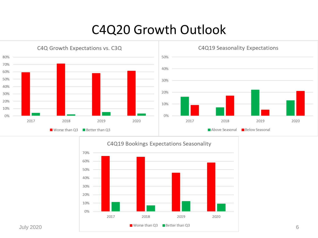#### C4Q20 Growth Outlook



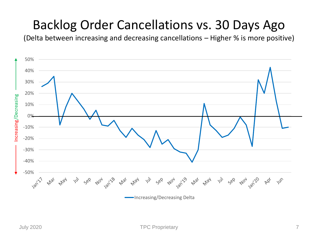#### Backlog Order Cancellations vs. 30 Days Ago

(Delta between increasing and decreasing cancellations – Higher % is more positive)

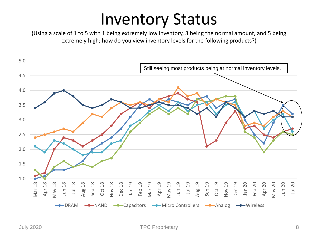## Inventory Status

(Using a scale of 1 to 5 with 1 being extremely low inventory, 3 being the normal amount, and 5 being extremely high; how do you view inventory levels for the following products?)

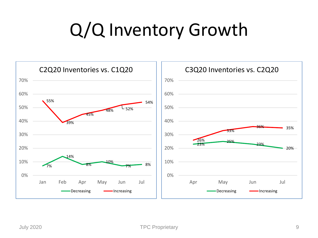# Q/Q Inventory Growth

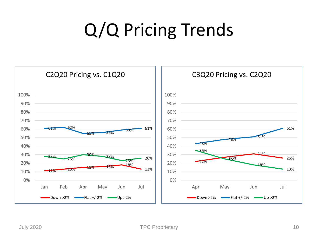# Q/Q Pricing Trends